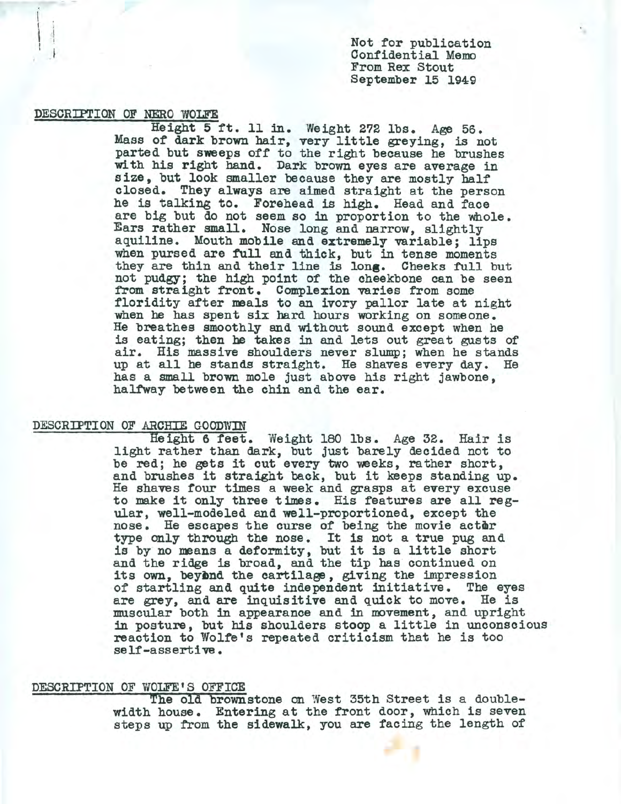Not for publication Confidential Memo From Rex Stout September 15 1949

DESCRIFTION OF NERO WOLFE

I

 $\mid \cdot \mid$ 

•

Height 5 ft. 11 in. Weight 272 lbs. Age 56. Mass of dark brown hair, very little greying, is not parted but sweeps off to the right because he brushes with his right hand. Dark brown eyes are average in size, but look smaller because they are mostly half closed. They always are aimed straight at the person he is talking to. Forehead is high. Head and face are big but do not seem so in proportion to the whole.<br>Ears rather small. Nose long and narrow, slightly aquiline. Mouth mobile and extremely variable; lips when pursed are full and thick, but in tense moments they are thin and their line is long. Cheeks full but not pudgy; the high point of the cheekbone can be seen from straight front. Complexion varies from some floridity after meals to an ivory pallor late at night when be has spent six hard hours working on someone. He breathes smoothly and without sound except when he is eating; then be takes in and lets out great gusts of air. His massive shoulders never slump; when he stands up at all he stands straight. He shaves every day. He has a small brown mole just above his right jawbone, halfway between the chin and the ear.

## DESCRIPTION OF ARCHIE GOODWIN

Height 6 feet. Weight 180 lbs. Age 32. Hair is light rather than dark, but just barely decided not to be red; he gets it cut every two weeks, rather short, and brushes it straight back, but it keeps standing up. He shaves tour times a week and grasps at every excuse to make it only three times. His features are all regular, well-modeled and well-proportioned, except the nose. He escapes the curse of being the movie actor type only through the nose. It is not a true pug and is by no means a deformity, but it is a little short and the ridge is broad, and the tip has continued on its own, beyond the cartilage, giving the impression of startling and quite independent initiative. The eyes are grey, and are inquisitive and quick to move. He is muscular both in appearance and in movement, and upright in posture, but his shoulders stoop a little in unconscious reaction to Wolfe's repeated criticism that he is too self-assertive.

## DESCRIPTION OF WOLFE'S OFFICE

The old brownstone on West 35th Street is a doublewidth house. Entering at the front door, which is seven steps up from the sidewalk, you are facing the length of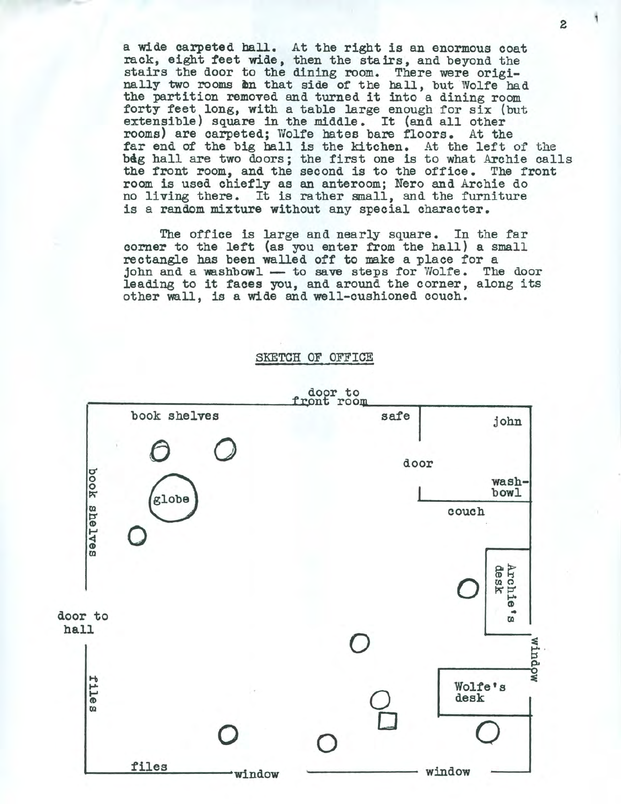a wide carpeted ball. At the right is an enormous coat rack, eight feet wide, then the stairs, and beyond the stairs the door to the dining room. There were originally two rooms on that side of the hall, but Wolfe had the partition removed and turned it into a dining room forty feet long, with a table large enough for six (but extensible) square in the middle. It (and all other rooms) are carpeted; Wolfe bates bare floors. At the far end of the big ball is the kitchen. At the left of the big hall are two doors; the first one is to what Archie calls the front room, and the second is to the office. The front room is used chiefly as an anteroom; Nero and Archie do no living there. It is rather small, and the furniture is a random mixture without any special character.

The office is large and nearly square. In the far corner to the left (as you enter from the hall) a small rectangle has been walled off to make a place for a john and a washbowl  $-$  to save steps for Wolfe. The door leading to it faces you, and around the corner, along its other wall, is a wide and well-cushioned couch.

SKETCH OF OFFICE



2